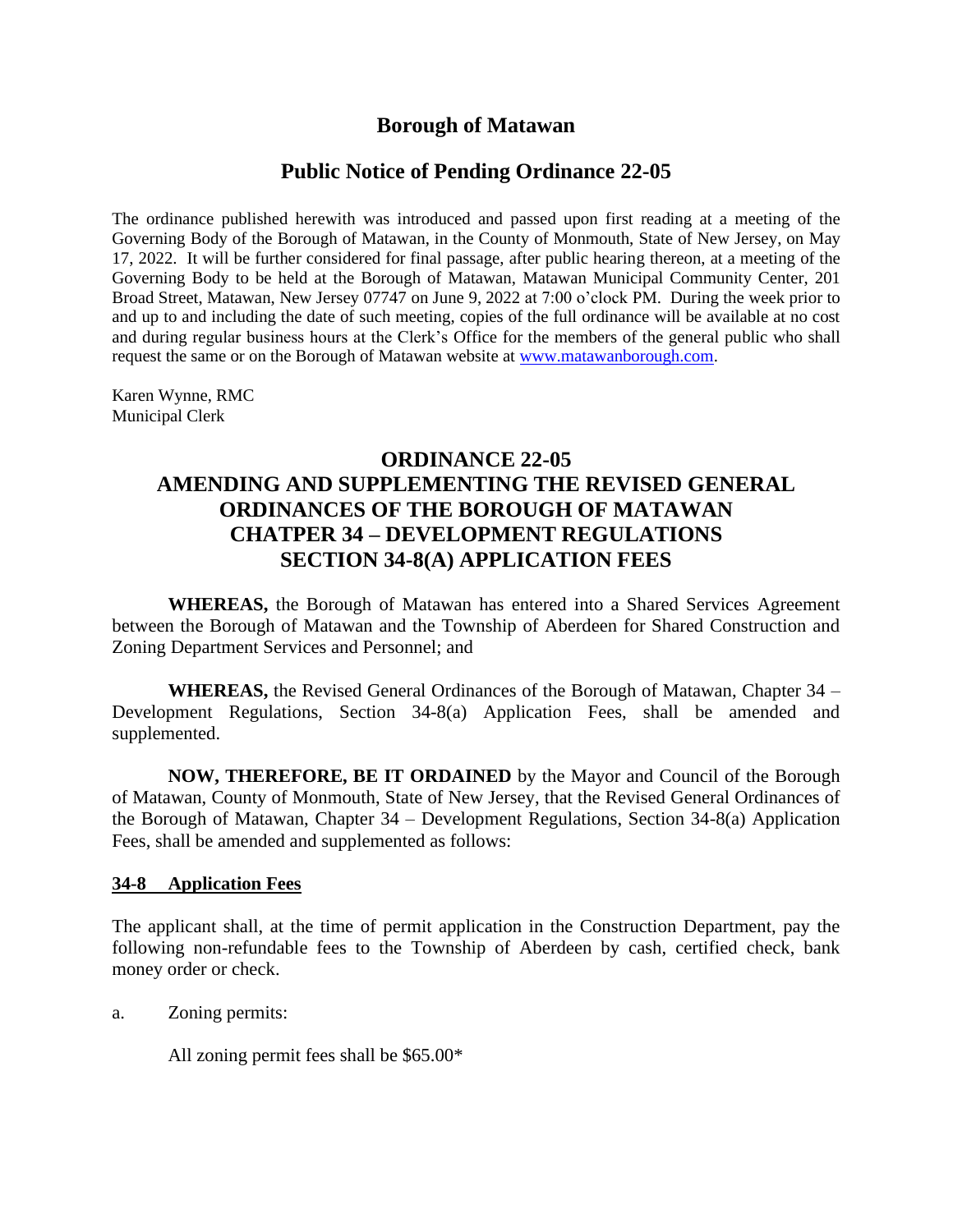## **Borough of Matawan**

## **Public Notice of Pending Ordinance 22-05**

The ordinance published herewith was introduced and passed upon first reading at a meeting of the Governing Body of the Borough of Matawan, in the County of Monmouth, State of New Jersey, on May 17, 2022. It will be further considered for final passage, after public hearing thereon, at a meeting of the Governing Body to be held at the Borough of Matawan, Matawan Municipal Community Center, 201 Broad Street, Matawan, New Jersey 07747 on June 9, 2022 at 7:00 o'clock PM. During the week prior to and up to and including the date of such meeting, copies of the full ordinance will be available at no cost and during regular business hours at the Clerk's Office for the members of the general public who shall request the same or on the Borough of Matawan website at [www.matawanborough.com.](http://www.matawanborough.com/)

Karen Wynne, RMC Municipal Clerk

## **ORDINANCE 22-05 AMENDING AND SUPPLEMENTING THE REVISED GENERAL ORDINANCES OF THE BOROUGH OF MATAWAN CHATPER 34 – DEVELOPMENT REGULATIONS SECTION 34-8(A) APPLICATION FEES**

**WHEREAS,** the Borough of Matawan has entered into a Shared Services Agreement between the Borough of Matawan and the Township of Aberdeen for Shared Construction and Zoning Department Services and Personnel; and

**WHEREAS,** the Revised General Ordinances of the Borough of Matawan, Chapter 34 – Development Regulations, Section 34-8(a) Application Fees, shall be amended and supplemented.

**NOW, THEREFORE, BE IT ORDAINED** by the Mayor and Council of the Borough of Matawan, County of Monmouth, State of New Jersey, that the Revised General Ordinances of the Borough of Matawan, Chapter 34 – Development Regulations, Section 34-8(a) Application Fees, shall be amended and supplemented as follows:

## **34-8 Application Fees**

The applicant shall, at the time of permit application in the Construction Department, pay the following non-refundable fees to the Township of Aberdeen by cash, certified check, bank money order or check.

a. Zoning permits:

All zoning permit fees shall be \$65.00\*